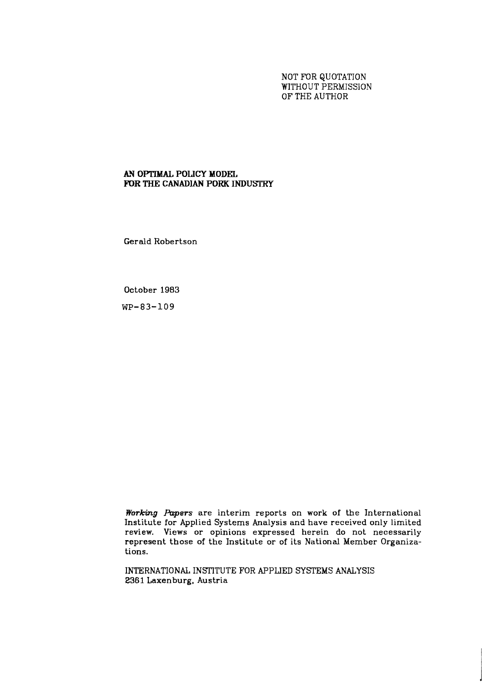NOT FOR QUOTATION WITHOUT PERMISSION OF THE AUTHOR

# **AY OPTIMAL POLICY MODEL FOR THE CANADIAN PORK INDUSTRY**

Gerald Robertson

October 1983

**WP-83-109** 

*Working Papers* are interim reports on work of the International Institute for Applied Systems Analysis and have received only limited review. Views or opinions expressed herein do not necessarily represent those of the Institute or of its National Member Organizations.

INTERNATIONAL INSTITUTE FOR APPLIED SYSTEMS ANALYSIS 2361 Laxenburg, Austria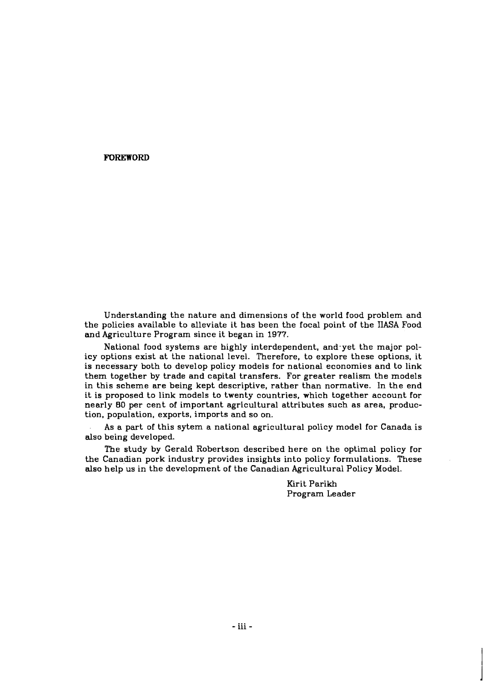#### **FOREWORD**

Understanding the nature and dimensions of the world food problem and the policies available to alleviate it has been the focal point of the IIASA Food and Agriculture Program since it began in 1977.

National food systems are highly interdependent, and.yet the major policy options exist at the national level. Therefore, to explore these options, it is necessary both to develop policy models for national economies and to link them together by trade and capital transfers. For greater realism the models in this scheme are being kept descriptive, rather than normative. In the end it is proposed to link models to twenty countries, which together account for nearly 80 per cent of important agricultural attributes such as area, production, population, exports, imports and so on.

As a part of this sytem a national agricultural policy model for Canada is also being developed.

The study by Gerald Robertson described here on the optimal policy for the Canadian pork industry provides insights into policy formulations. These also help us in the development of the Canadian Agricultural Policy Model.

> Kirit Parikh Program Leader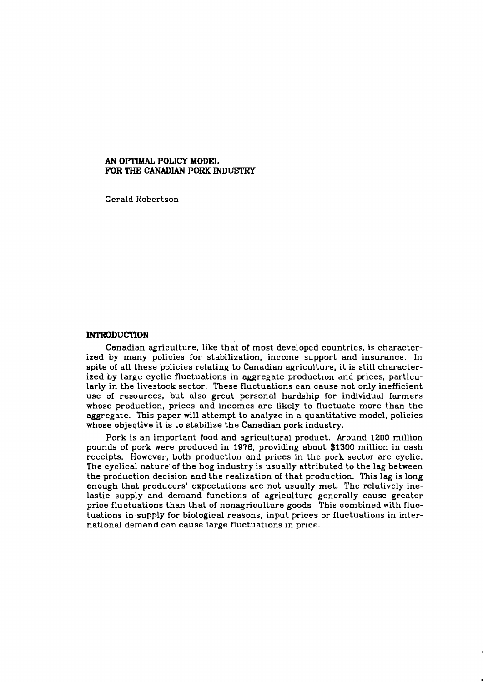#### **AN OPTIMAL POLICY MODEL** FOR THE CANADIAN PORK INDUSTRY

Gerald Robertson

#### **INTRODUCTION**

Canadian agriculture, like that of most developed countries, is characterized by many policies for stabilization, income support and insurance. In spite of all these policies relating to Canadian agriculture, it is still characterized by large cyclic fluctuations in aggregate production and prices, particularly in the livestock sector. These fluctuations can cause not only inefficient use of resources, but also great personal hardship for individual farmers whose production, prices and incomes are likely to fluctuate more than the aggregate. This paper will attempt to analyze in a quantitative model, policies whose objective it is to stabilize the Canadian pork industry.

Pork is an important food and agricultural product. Around **1200** million pounds of pork were produced in **1978,** providing about **\$1300** million in cash receipts. However, both production and prices in the pork sector are cyclic. The cyclical nature' of the hog industry is usually attributed to the lag between the production decision and the realization of that production. This lag is long enough that producers' expectations are not usually met. The relatively inelastic supply and demand functions of agriculture generally cause greater price fluctuations than that of nonagriculture goods. This combined with fluctuations in supply for biological reasons, input prices or fluctuations in international demand can cause large fluctuations in price.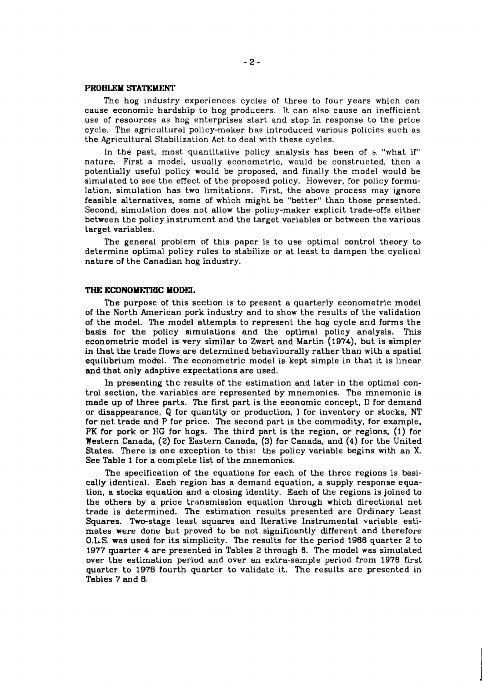#### **PROBLEM STATEMENT**

The hog industry experiences cycles of three to four years which can cause economic hardship to hog producers. It can also cause an inefficient use of resources as hog enterprises start and stop in response to the price cycle. The agricultural policy-maker has introduced various policies such as the Agricultural Stabilization Act to deal with these cycles.

In the past, most quantitative policy analysis has been of **h** "what if" nature. First a model, usually econometric, would be constructed, then a potentially useful policy would be proposed, and finally the model would be simulated to see the effect of the proposed policy. However, for policy formulation, simulation has two limitations. First, the above process may ignore feasible alternatives, some of which might be "better" than those presented. Second, simulation does not allow the policy-maker explicit trade-offs either between the policy instrument and the target variables or between the various target variables.

The general problem of this paper is to use optimal control theory to determine optimal policy rules to stabilize or at least to dampen the cyclical nature of the Canadian hog industry.

#### **THE ECONOMEI'RIC MODEL**

The purpose of this section is to present a quarterly econometric model of the North American pork industry and to show the results of the validation of the model. The model attempts to represent the hog cycle and forms the basis for the policy simulations and the optimal policy analysis. This econometric model is very similar to Zwart and Martin **(1974).** but is simpler in that the trade flows are determined behaviourally rather than with a spatial equilibrium model. The econometric model is kept simple in that it is linear and that only adaptive expectations are used.

**In** presenting the results of the estimation and later in the optimal control section, the variables are represented by mnemonics. The mnemonic is made up of three parts. The first part is the economic concept, D for demand or disappearance, Q for quantity or production, I for inventory or stocks, NT for net trade and P for price. The second part is the commodity, for example, PK for pork or HG for hogs. The third part is the region, or regions, **(1)** for Western Canada, (2) for Eastern Canada, **(3)** for Canada, and (4) for the United States. There is one exception to this: the policy variable begins with an **X.**  See Table **1** for a complete list of the mnemonics.

The specification of the equations for each of the three regions is basically identical. Each region has a demand equation, a supply response equation, a stocks equation and a closing identity. Each of the regions is joined to the others by a price transmission equation through which directional net trade is determined. The estimation results presented are Ordinary Least Squares. Two-stage least squares and Iterative Instrumental variable estimates were done but proved to be not significantly different and therefore **O.LS.** was used for its simplicity. The results for the period **1966** quarter 2 to **1977** quarter 4 are presented in Tables 2 through 6. The model was simulated over the estimation period and over an extra-sample period from **1978** first quarter to **1970** fourth quarter to validate it. The results are presented in Tables **7** and 8.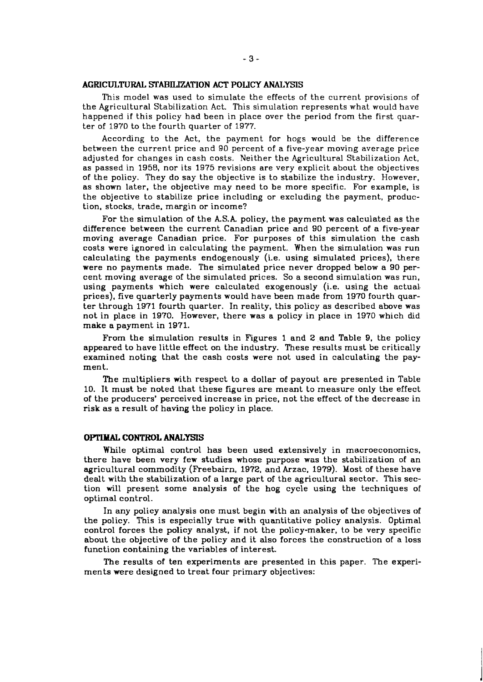#### **AGRICULTURAL STABILEATION ACT POLICY ANALYSIS**

This model was used to simulate the effects of the current provisions of the Agricultural Stabilization Act. This simulation represents what would have happened if this policy had been in place over the period from the first quarter of 1970 to the fourth quarter of 1977.

According to the Act, the payment for hogs would be the difference between the current price and 90 percent of a five-year moving average price adjusted for changes in cash costs. Neither the Agricultural Stabilization Act, as passed in 1958, nor its 1975 revisions are very explicit about the objectives of the policy. They do say the objective is to stabilize the industry. However, as shown later, the objective may need to be more specific. For example, is the objective to stabilize price including or excluding the payment, production, stocks, trade. margin or income?

For the simulation of the **kS.k** policy, the payment was calculated as the difference between the current Canadian price and 90 percent of a five-year moving average Canadian price. For purposes of this simulation the cash costs were ignored in calculating the payment. When the simulation was run calculating the payments endogenously (i.e. using simulated prices), there were no payments made. The simulated price never dropped below a 90 percent moving average of the simulated prices. So a second simulation was run, using payments which were calculated exogenously (i.e. using the actual. prices), five quarterly payments would have been made from 1970 fourth quarter through 1971 fourth quarter. In reality, this policy as described above was not in place in 1970. However, there was a policy in place in 1970 which did make a payment in 1971.

From the simulation results in Figures 1 and 2 and Table 9, the policy appeared to have little effect on the industry. These results must be critically examined noting that the cash costs were not used in calculating the payment.

The multipliers with respect to a dollar of payout are presented in Table 10. It must be noted that these figures are meant to measure only the effect of the producers' perceived increase in price, not the effect of the decrease in risk as a result of having the policy in place.

#### **OPTIMAL CONTROL ANALYSIS**

While optimal control has been used extensively in macroeconomics, there have been very few studies whose purpose was the stabilization of an agricultural commodity (Freebairn, 1972, and Arzac, 1979). Most of these have dealt with the stabilization of a large part of the agricultural sector. This section will present some analysis of the hog cycle using the techniques of optimal control.

In any policy analysis one must begin with an analysis of the objectives of the policy. This is especially true with quantitative policy analysis. Optimal control forces the policy analyst, if not the policy-maker, to be very specific about the objective of the policy and it also forces the construction of a loss function containing the variables of interest.

The results of ten experiments are presented in this paper. The experiments were designed to treat four primary objectives: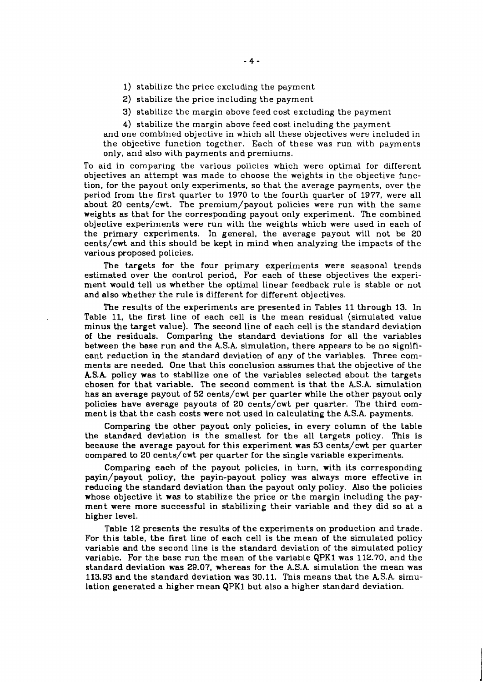- 1) stabilize the price excluding the payment
- 2) stabilize the price including the payment
- 3) stabilize the margin above feed cost excluding the payment
- 4) stabilize the margin above feed cost including the payment

and one combined objective in which all these objectives were included in the objective function together. Each of these was run with payments only, and also with payments and premiums.

To aid in comparing the various policies which were optimal for different objectives an attempt was made to choose the weights in the objective function, for the payout only experiments, so that the average payments, over the period from the first quarter to 1970 to the fourth quarter of 1977, were all about 20 cents/cwt. The premium/payout policies were run with the same weights as that for the corresponding payout only experiment. The combined objective experiments were run with the weights which were used in each of the primary experiments. In general, the average payout will not be 20 cents/cwt and this should be kept in mind when analyzing the impacts of the various proposed policies.

The targets for the four primary experiments were seasonal trends estimated over the control period, For each of these objectives the experiment would tell us whether the optimal linear feedback rule is stable or not and also whether the rule is different for different objectives.

The results of the experiments are presented in Tables 11 through 13. In Table 11, the first line of each cell is the mean residual (simulated value minus the target value). The second line of each cell is the standard deviation of the residuals. Comparing the standard deviations for all the variables between the base run and the **A.S.A.** simulation, there appears to be no significant reduction in the standard deviation of any of the variables. Three comments are needed. One that this conclusion assumes that the objective of the *kS.A* policy was to stabilize one of the variables selected about the targets chosen for that variable. The second comment is that the **A.S.A.** simulation has **an** average payout of 52 cents/cwt per quarter while the other payout only policies have average payouts of 20 cents/cwt per quarter. The third comment is that the cash costs were not used in calculating the **A.S.A.** payments.

Comparing the other payout only policies, in every column of the table the standard deviation is the smallest for the all targets policy. This is because the average payout for this experiment was 53 cents/cwt per quarter compared to 20 cents/cwt per quarter for the single variable experiments.

Comparing each of the payout policies, in turn, with its corresponding payin/payout policy, the payin-payout policy was always more effective in reducing the standard deviation than the payout only policy. Also the policies whose objective it **was** to stabilize the price or the margin including the payment were more successful in stabilizing their variable and they did so at a higher level.

Table 12 presents the results of the experiments on production and trade. For this table, the first line of each cell is the mean of the simulated policy variable and the second line is the standard deviation of the simulated policy variable. For the base run the mean of the variable QPKl was 112.70, and the standard deviation was 29.07, whereas for the A.S.A. simulation the mean was 113.93 and the standard deviation was 30.11. This means that the **kS.A** simulation generated a higher mean QPKl but also a higher standard deviation.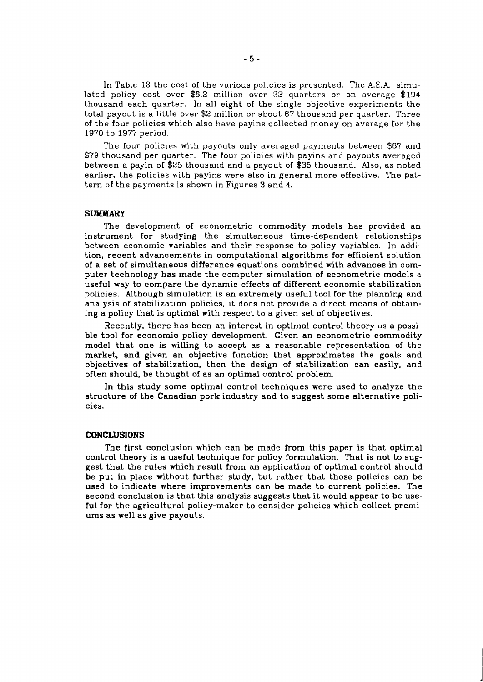In Table 13 the cost of the various policies is presented. The **A.S.A.** simulated policy cost over \$6.2 million over 32 quarters or on average \$194 thousand each quarter. In all eight of the single objective experiments the total payout is a little over \$2 million or about 67 thousand per quarter. Three of the four policies which also have payins collected money on average For the 1970 to 1977 period.

The four policies with payouts only averaged payments between \$67 and \$79 thousand per quarter. The four policies with payins and payouts averaged between a payin of \$25 thousand and a payout of \$35 thousand. Also, as noted earlier, the policies with payins were also in general more effective. The pattern of the payments is shown in Figures 3 and 4.

#### **SUMMARY**

The development of econometric commodity models has provided an instrument for studying the simultaneous time-dependent relationships between economic variables and their response to policy variables. In addition, recent advancements in computational algorithms for efficient solution of a set of simultaneous difference equations combined with advances in computer technology has made the computer simulation of econometric models a useful way to compare the dynamic effects of different economic stabilization policies. Although simulation is an extremely useful tool for the planning and analysis of stabilization policies, it does not provide a direct means of obtaining a policy that is optimal with respect to a given set of objectives.

Recently, there has been an interest in optimal control theory as a possible tool for economic policy development. Given an econometric commodity model that one is willing to accept as a reasonable representation of the market, and given an objective function that approximates the goals and objectives of stabilization, then the design of stabilization can easily, and often should, be thought of as an optimal control problem.

In this study some optimal control techniques were used to analyze the structure of the Canadian pork industry and to suggest some alternative policies.

#### **CONCLUSIONS**

The first conclusion which can be made from this paper is that optimal control theory is a useful technique for policy formulation. That is not to suggest that the rules which result from an application of optimal control should be put in place without further study, but rather that those policies can be used to indicate where improvements can be made to current policies. The second conclusion is that this analysis suggests that it would appear to be useful for the agricultural policy-maker to consider policies which collect premiums as well as give payouts.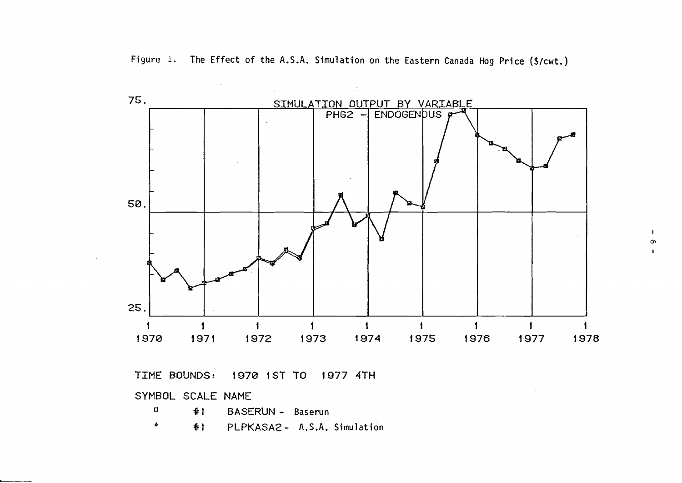**Figure** 1. **The Effect of the A.S.A. Simulation on the Eastern Canada Hog Price (\$/cwt.)** 



**TIME BOUNDS: 1970 1ST TO 1977 4TH** 

**SYMBOL SCALE NAME** 

 $\mathcal{L}_{\mathcal{A}}$ 

| - 0       | $#1$ BASERUN - Baserun          |  |
|-----------|---------------------------------|--|
| $\bullet$ | #1 PLPKASA2 - A.S.A. Simulation |  |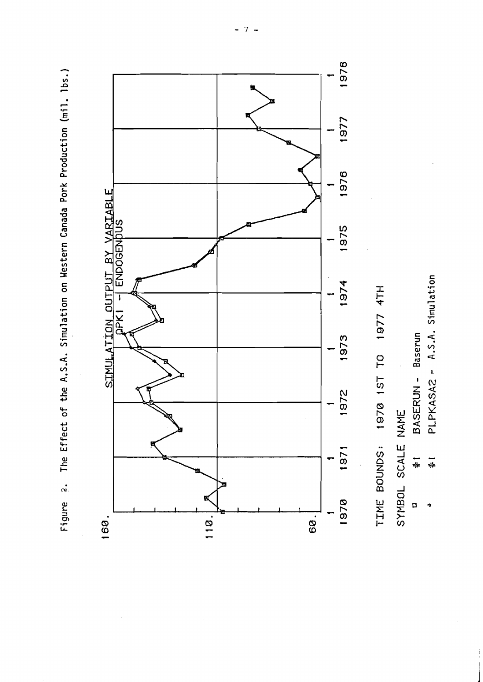The Effect of the A.S.A. Simulation on Western Canada Pork Production (mil. lbs.) Figure 2.



 $\overline{7}$  $\overline{a}$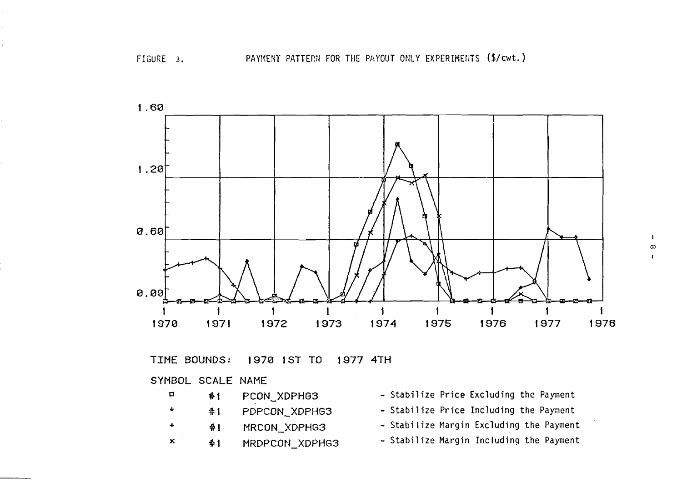

**TIME** BOUNDS: 1970 IST TO 1977 4TH

# SYMBOL SCALE NAME

 $\bar{t}$ 

- **<sup>0</sup>***#* **1** PCON-XDPHG3 Stabilize Price Excluding the Paynent <sup>2</sup> **1 PDPCON\_XDPHG3** - Stabilize Price Including the Payment <sup>+</sup>**9** 1 MRCON-XDPHG3 - Stabilize Margin Excluding the Payment **<sup>X</sup>***8* **1** MRDPCON-XDPHG3 - Stabilize Margin Including the Payment
	-
	-
	-
	-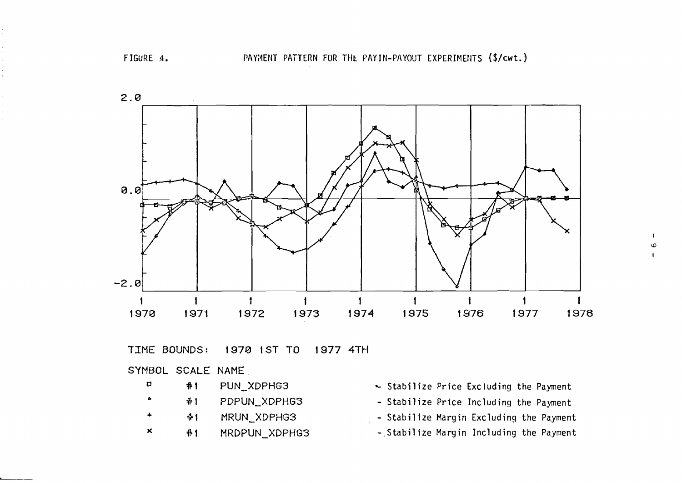

TIME BOUNDS: 1978 1ST TO 1977 4TH

SYMBOL SCALE NAME

- **u #1** PUN\_XDPHG3
- **6 41** PDPUN\_XDPHG3
- <sup>+</sup>**9 1** MRUN-XDPHG3
- **X 4+ 1** MRDPUN-XDFHG3
- **Stabilize Price Excluding the Payment**
- **Stabilize Price Including the Payment**
- Stabilize Margin Excluding the Payment
- **-.Stabilize Margin Including the Payment**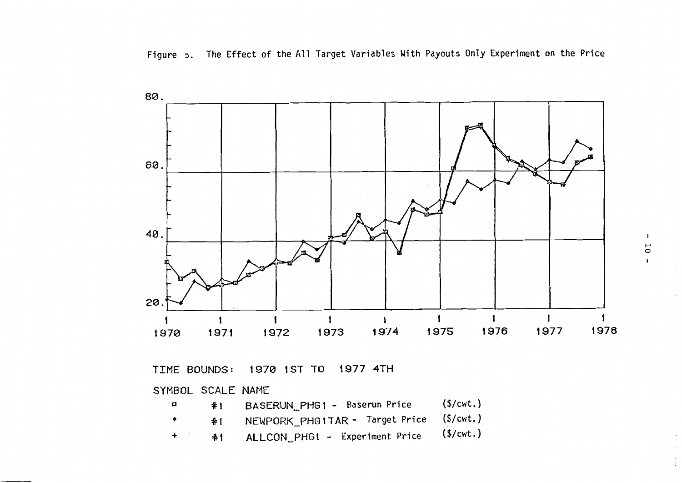

TIME BOUNDS: 1970 1ST TO 1977 4TH

SYMBOL SCALE NAME

| α | #1 | BASERUN PHG1 - Baserun Price                | (S/cwt.) |
|---|----|---------------------------------------------|----------|
|   |    | #1 NEWPORK_PHG1TAR - Target Price (\$/cwt.) |          |
|   | #1 | ALLCON_PHG1 - Experiment Price (\$/cwt.)    |          |

 $\pmb{\mathsf{I}}$  $\overline{\mathsf{C}}$  $\mathbf{I}$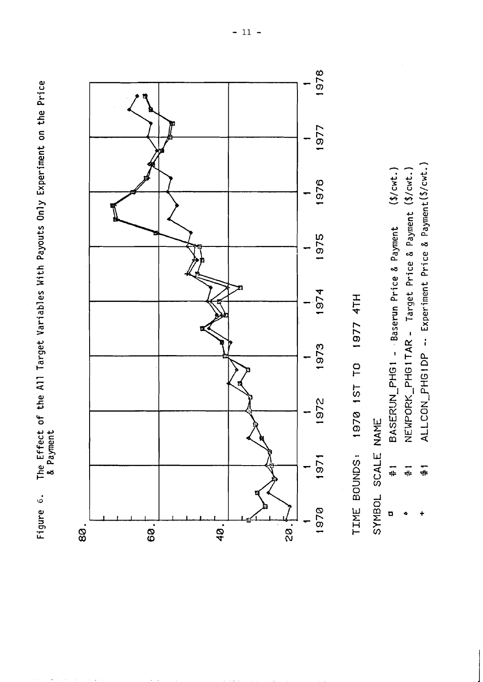The Effect of the All Target Variables With Payouts Only Experiment on the Price<br>& Payment Figure 6.



TIME BOUNDS: 1970 1ST TO 1977 4TH

SYMBOL SCALE NAME

ALLCON\_PHG1DP -- Experiment Price & Payment (\$/cwt.) NEWPORK\_PHG1TAR - Target Price & Payment (\$/cwt.)  $($ \$/cwt.) BASERUN\_PHG1 - Baserun Price & Payment  $\frac{1}{4}$  $\frac{1}{4}$  $\blacksquare$ 

 $\frac{1}{16}$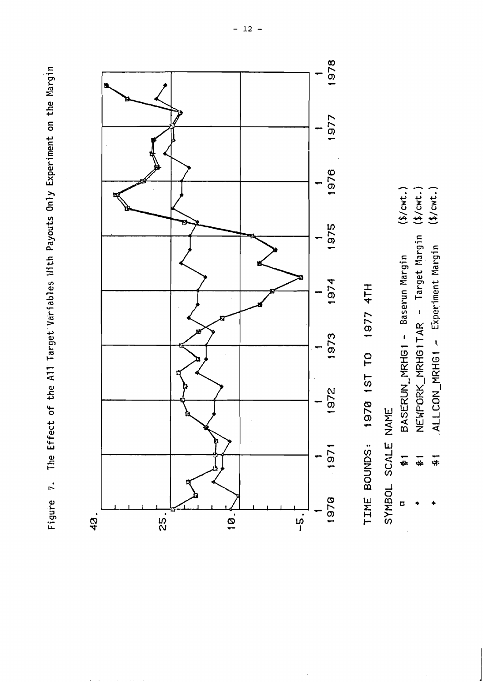Figure 7. The Effect of the All Target Variables With Payouts Only Experiment on the Margin



TIME BOUNDS: 1970 1ST TO 1977 4TH

SYMBOL SCALE NAME

- $($ \$/cwt.) BASERUN\_MRHG1 - Baserun Margin ₩ D
- NEWPORK\_MRHG1TAR Target Margin (\$/cwt.) 4
	- $($ \$/cwt.) ALLCON\_MRHG1 - Experiment Margin  $\frac{1}{4}$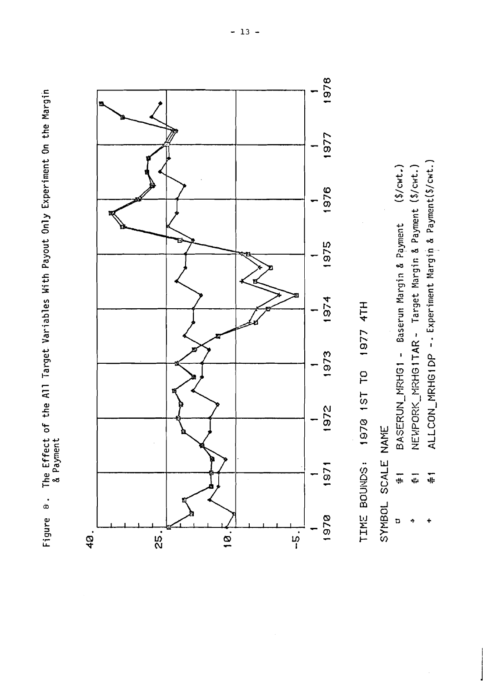Figure 8. The Effect of the All Target Variables With Payout Only Experiment On the Margin<br>8 Payment



TIME BOUNDS: 1970 1ST TO 1977 4TH

SYMBOL SCALE NAME

| $(s/cwt$ .                               |                                                      |                                                         |
|------------------------------------------|------------------------------------------------------|---------------------------------------------------------|
| BASERUN MRHG1 - Baserun Margin & Payment | NEWPORK MRHG1TAR - Target Margin & Payment (\$/cwt.) | ALLCON_MRHG1DP -- Experiment Margin & Payment (\$/cwt., |
| #                                        | 二                                                    | ÷                                                       |
| ۵                                        | ó                                                    | ÷                                                       |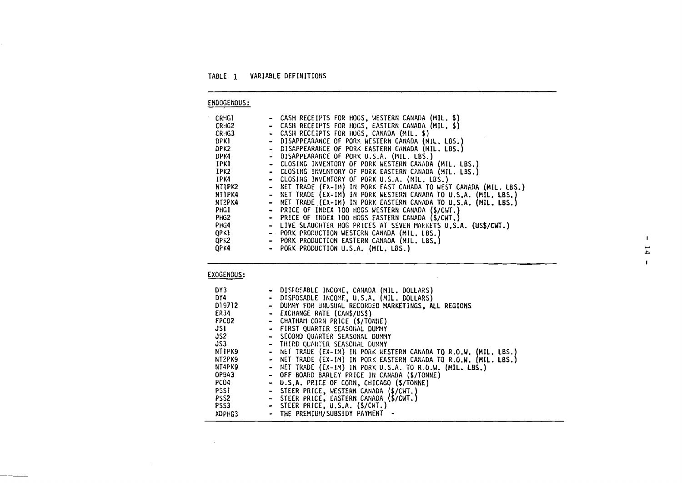# TABLE 1 VARIABLE DEFINITIONS

# ENDOGENOUS :

| <b>CRHG1</b>     |                       | - CASH RECEIPTS FOR HOGS, WESTERN CANADA (MIL, \$)               |
|------------------|-----------------------|------------------------------------------------------------------|
| CRHG2            |                       | - CASH RECEIPTS FOR HOGS, EASTERN CANADA (MIL, \$)               |
| CRHG3            | $\tilde{\phantom{a}}$ | CASH RECEIPTS FOR HOGS, CANADA (MIL. \$)                         |
| DPK1             | $\bullet$             | DISAPPEARANCE OF PORK WESTERN CANADA (MIL, LBS,)                 |
| DPK2             |                       | - DISAPPEARANCE OF PORK EASTERN CANADA (MIL. LBS.)               |
| DPK4             |                       | - DISAPPEARANCE OF PORK U.S.A. (MIL. LBS.)                       |
| <b>IPKI</b>      |                       | - CLOSING INVENTORY OF PORK WESTERN CANADA (MIL, LBS.)           |
| IPK2             |                       | - CLOSING INVENTORY OF PORK EASTERN CANADA (MIL. LBS.)           |
| IPK4             |                       | - CLOSING INVENTORY OF PORK U.S.A. (MIL. LBS.)                   |
| NTIPK2           | $\bullet$             | NET TRADE (EX-IM) IN PORK EAST CANADA TO WEST CANADA (MIL. LBS.) |
| NT1PK4           | $\blacksquare$        | NET TRADE (EX-IM) IN PORK WESTERN CANADA TO U.S.A. (MIL. LBS.)   |
| NT2PK4           |                       | - NET TRADE (EX-IM) IN PORK EASTERN CANADA TO U.S.A. (MIL. LBS.) |
| <b>PHG1</b>      |                       | - PRICE OF INDEX 100 HOGS WESTERN CANADA (\$/CWT.)               |
| PHG <sub>2</sub> |                       | - PRICE OF INDEX 100 HOGS EASTERN CANADA (\$/CWT,)               |
| PHG4             |                       | - LIVE SLAUGHTER HOG PRICES AT SEVEN MAEKETS U.S.A. (US\$/CWT.)  |
| <b>OPKI</b>      |                       | - PORK PRODUCTION WESTERN CANADA (MIL. LBS.)                     |
| QPK2             |                       | - PORK PRODUCTION EASTERN CANADA (MIL. LBS.)                     |
| QPK4             | $\sim$                | PORK PRODUCTION U.S.A. (MIL. LBS.)                               |

 $\mathbf{L}$  $14\,$  $\mathbf{L}$ 

# EXOGENOUS:

 $\mathcal{L}^{\text{max}}_{\text{max}}$ 

 $\sim 100$ 

| DY3              |                | - DISFOSABLE INCOME, CANADA (MIL, DOLLARS)                       |
|------------------|----------------|------------------------------------------------------------------|
| DY4              |                | - DISPOSABLE INCOME, U.S.A. (MIL. DOLLARS)                       |
| D19712           | $\blacksquare$ | DUMMY FOR UNUSUAL RECORDED MARKETINGS. ALL REGIONS               |
| <b>EP34</b>      |                | - EXCHANGE RATE (CANS/USS)                                       |
| FPC02            |                | - CHATHAN CORN PRICE (\$/TONNE)                                  |
| งรา              |                | - FIRST QUARTER SEASONAL DUMMY                                   |
| JS2 -            |                | - SECOND QUARTER SEASONAL DUMMY                                  |
| JS3 -            |                | - THIRD QUARTER SEASONAL DUMMY                                   |
| <b>NTIPK9</b>    |                | - NET TRADE (EX-IM) IN PORK WESTERN CANADA TO R.O.W. (MIL. LBS.) |
| NT2PK9           | $\bullet$      | NET TRADE (EX-IM) IN PORK EASTERN CANADA TO R.O.W. (MIL. LBS.)   |
| NT4PK9           | $\sim$         | NET TRADE (EX-IM) IN PORK U.S.A. TO R.O.W. (MIL. LBS.)           |
| OPBA3            |                | - OFF BOARD BARLEY PRICE IN CANADA (\$/TONNE)                    |
| PCO4             |                | - U.S.A. PRICE OF CORN, CHICAGO (\$/TONNE)                       |
| PSS1             | ٠              | STEER PRICE, WESTERN CANADA (S/CWT.)                             |
| PSS <sub>2</sub> |                | - STEER PRICE, EASTERN CANADA (\$/CWT.)                          |
| PSS3             |                | - STEER PRICE, U.S.A. (\$/CWT.)                                  |
| XDPHG3           |                | - THE PREMIUM/SUBSIDY PAYMENT                                    |

 $\mathcal{L}^{\text{max}}_{\text{max}}$  and  $\mathcal{L}^{\text{max}}_{\text{max}}$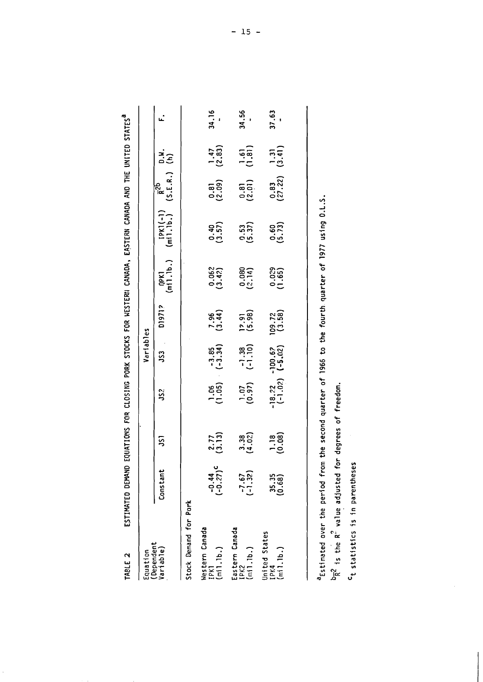| TABLE <sub>2</sub>                                                               | ESTIMATED DEMAND                                   |                                                   |                       |                        |                                               |        | EQUATIONS FOR CLOSING PORK STOCKS FOR WESTERN CANADA, EASTERN CANADA AND THE UNITED STATES |                                              |                                                  |       |
|----------------------------------------------------------------------------------|----------------------------------------------------|---------------------------------------------------|-----------------------|------------------------|-----------------------------------------------|--------|--------------------------------------------------------------------------------------------|----------------------------------------------|--------------------------------------------------|-------|
| Equation                                                                         |                                                    |                                                   |                       | Variables              |                                               |        |                                                                                            |                                              |                                                  |       |
| (Dependent<br>Variable)                                                          | Constant                                           | <u>ົດ</u>                                         | ະ                     | ິງ                     | 01971?                                        |        | (pk1 [pk1(-1) $\bar{R}^{2b}$ 0.4.<br>(m11.1b.) (m11.1b.) (S.E.R.) (h)                      |                                              |                                                  |       |
| Stock Demand for Pork                                                            |                                                    |                                                   |                       |                        |                                               |        |                                                                                            |                                              |                                                  |       |
| Western Canada<br>$\left(\frac{1}{2} + \frac{1}{2} + \frac{1}{2}\right)$<br>IPK1 | $(-0.41)$                                          | $\begin{pmatrix} 2.77 \\ 3.13 \end{pmatrix}$      | $\frac{1.06}{(1.05)}$ | $-3.34$ )              | $\binom{7.96}{3.44}$                          | (3.42) | 0.40<br>(3.57)                                                                             | $\begin{pmatrix} 0.81 \\ 2.09 \end{pmatrix}$ | $\frac{1.47}{(2.83)}$                            | 34.16 |
| Eastern Canada<br>(m11.1b.)<br>IPK2                                              | $\begin{pmatrix} -7 & 67 \\ -1 & 32 \end{pmatrix}$ | 3.38<br>(4.0?)                                    | (0.97)                | $-1.38$<br>$(-1.10)$   | $\begin{bmatrix} 12.91 \\ 5.98 \end{bmatrix}$ | (2.14) | 0.53<br>(5.37)                                                                             | $\begin{pmatrix} 0.81 \\ 2.01 \end{pmatrix}$ | $\begin{pmatrix} 1 & 5 \\ 1 & 31 \end{pmatrix}$  | 34.56 |
| United States<br>$IPK4$<br>(mil.lb.)                                             | 35.35<br>(0.68)                                    | $\begin{bmatrix} 1 & 18 \\ 0 & .08 \end{bmatrix}$ | $-18.22$ -<br>(-1.02) | $-100.67$<br>$(-5.02)$ | $\frac{109.72}{(3.58)}$                       | (1.65) | 0.60<br>(5.73)                                                                             | $\frac{0.83}{(27.22)}$                       | $\begin{pmatrix} 1 & 31 \\ 3 & 41 \end{pmatrix}$ | 37.63 |

astimated over the period from the second quarter of 1966 to the fourth quarter of 1977 using 0.L.S.

 $\overline{b_R^2}$  is the R<sup>2</sup> value adjusted for degrees of freedom.

<sup>C</sup>t statistics is in parentheses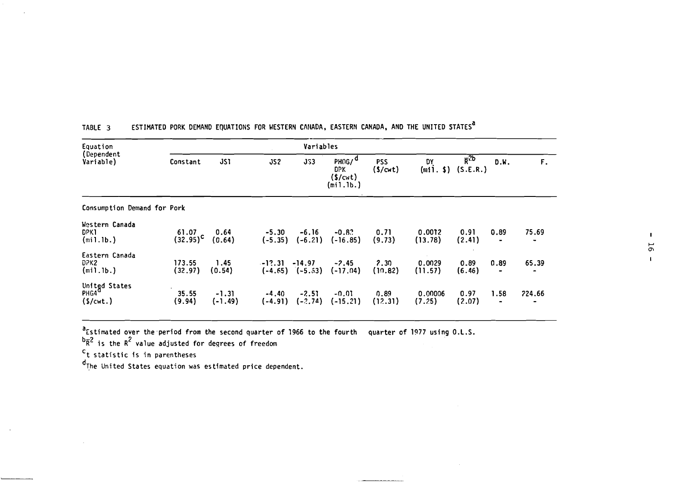| Equation                                       |                               |                      |                      | Variables            |                                                          |                       |                   |                            |                        |             |
|------------------------------------------------|-------------------------------|----------------------|----------------------|----------------------|----------------------------------------------------------|-----------------------|-------------------|----------------------------|------------------------|-------------|
| (Dependent<br>Variable)                        | Constant                      | <b>JS1</b>           | JS2                  | <b>JS3</b>           | PHOG/ <sup>a</sup><br><b>DPK</b><br>(\$/cwt)<br>(min1b.) | <b>PSS</b><br>(S/cwt) | DY<br>(min, \$)   | $\bar{R}^{2b}$<br>(S.E.R.) | D.W.                   | $F_{\star}$ |
| Consumption Demand for Pork                    |                               |                      |                      |                      |                                                          |                       |                   |                            |                        |             |
| Western Canada<br>DPK1<br>(min1.b.)            | 61.07<br>$(32.95)^{\text{c}}$ | 0.64<br>(0.64)       | $-5.30$<br>$(-5.35)$ | $-6.16$<br>$(-6.21)$ | $-0.82$<br>$(-16.85)$                                    | 0.71<br>(9.73)        | 0.0012<br>(13.78) | 0.91<br>(2.41)             | 0.89                   | 75.69       |
| Eastern Canada<br>DPK2<br>(mil.lb.)            | 173.55<br>(32.97)             | 1.45<br>(0.54)       | $-12.31 -14.97$      | $(-4.65)$ $(-5.53)$  | $-2.45$<br>$(-17.04)$                                    | 2.30<br>(10.82)       | 0.0029<br>(11.57) | 0.89<br>(6.46)             | 0.89<br>$\blacksquare$ | 65.39       |
| United States<br>PHG4 <sup>d</sup><br>(S/cwt.) | 35.55<br>(9.94)               | $-1.31$<br>$(-1.49)$ | $-4.40$<br>$(-4.91)$ | $-2.51$<br>$(-2.74)$ | -0.01<br>$(-15.21)$                                      | 0.89<br>(12.31)       | 0.00006<br>(7.25) | 0.97<br>(2.07)             | 1.58<br>۰              | 724.66      |

---<del>---------------</del>

# TABLE 3 ESTIMATED PORK DEMAND EQUATIONS FOR WESTERN CANADA, EASTERN CANADA, AND THE UNITED STATES<sup>a</sup>

"Estimated over the period from the second quarter of 1966 to the fourth  $\,$  quarter of 1977 using <code>O.L.S</code>

 $^{\text{b}}$ R<sup>2</sup> is the R<sup>2</sup> value adjusted for degrees of freedom

 $c$ <sub>t statistic is in parentheses</sub>

 $d$ <sub>The United States equation was estimated price dependent.</sub>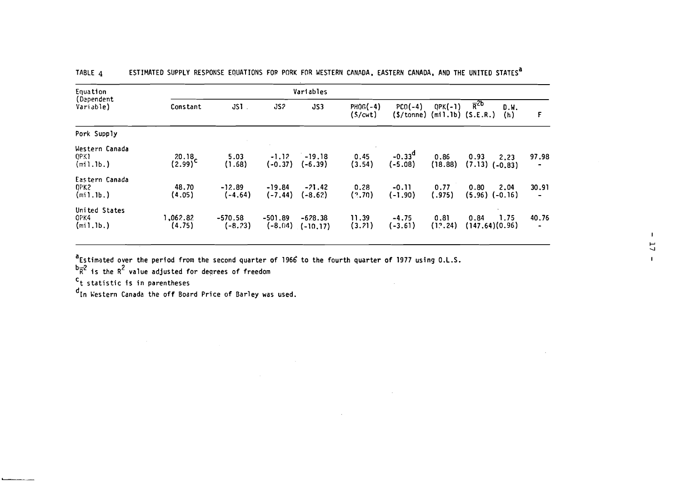| Equation                                   |                    |                        |                        | Variables                |                       |                            |                 |                                                             |                                |
|--------------------------------------------|--------------------|------------------------|------------------------|--------------------------|-----------------------|----------------------------|-----------------|-------------------------------------------------------------|--------------------------------|
| (Dependent<br>Variable)                    | Constant           | $JSI$ .                | JS <sub>2</sub>        | JS3                      | $PHOG(-4)$<br>(S/cwt) | $PCO(-4)$<br>$($ \$/tonne) | $QPK(-1)$       | $\overline{R}^{2b}$<br>D.W.<br>$(min.1b)$ $(S.E.R.)$<br>(h) | F                              |
| Pork Supply                                |                    |                        |                        |                          |                       |                            |                 |                                                             |                                |
| Western Canada<br><b>QPK1</b><br>(mil.lb.) | 20.18<br>(2.99)    | 5.03<br>(1.68)         | $-1.12$<br>$(-0.37)$   | $-19.18$<br>$(-6.39)$    | 0.45<br>(3.54)        | $-0.33d$<br>$(-5.08)$      | 0.86<br>(18.88) | 0.93<br>2.23<br>(7.13)<br>$(-0.83)$                         | 97.98<br>$\tilde{\phantom{a}}$ |
| Eastern Canada<br>CPK2<br>(min1b.)         | 48.70<br>(4.05)    | $-12.89$<br>(-4.64)    | $-19.84$<br>$(-7.44)$  | $-21.42$<br>(-8.62)      | 0.28<br>(2.70)        | $-0.11$<br>$(-1.90)$       | 0.77<br>(.975)  | 2.04<br>0.80<br>$(5.96)$ $(-0.16)$                          | 30.91<br>$\blacksquare$        |
| United States<br>OPK4<br>(min1b.)          | 1,062.82<br>(4.75) | $-570.58$<br>$(-8.73)$ | $-501.89$<br>$(-8.04)$ | $-678.38$<br>$(-10, 17)$ | 11.39<br>(3.21)       | $-4.75$<br>$(-3.61)$       | 0.81<br>(12.24) | 1.75<br>0.84<br>(147.64)(0.96)                              | 40.76<br>$\blacksquare$        |

 $\sim 10^{-1}$ 

 $\sim 100$  km s  $^{-1}$ 

TABLE 4 ESTIMATED SUPPLY RESPONSE EQUATIONS FOR PORK FOR WESTERN CANADA, EASTERN CANADA, AND THE UNITED STATES<sup>a</sup>

 $^{\texttt{a}}$ Estimated over the period from the second quarter of 1966 to the fourth quarter of 1977 using O.L.S

 $^{\rm b}$  $^{\rm c}$  is the R<sup>2</sup> value adjusted for degrees of freedom

't statistic is in parentheses

It statistic is in parentheses<br>d<sub>In Western Canada the off Board Price of Barley was used.</sub>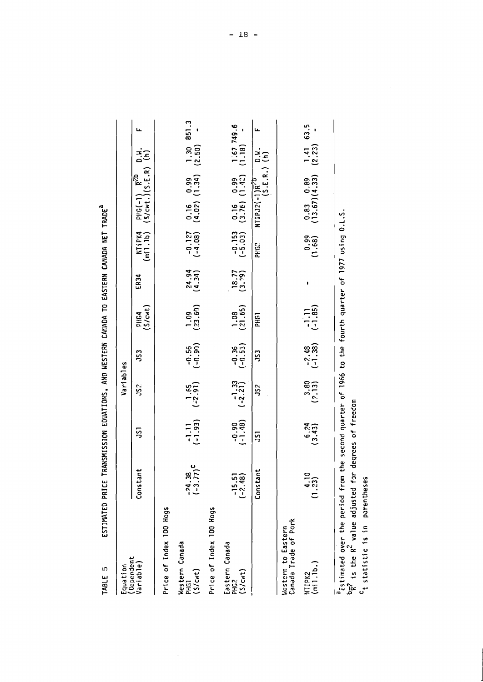| C 31BN                                                                                                                                                                                          | ESITINATED PRICE TARIC DESIGNATIONS, AND EQUATIONS, AND EXPLORENCEMENT OF THE PRICE THAT IN THE RESERVE THAT I |                        |                                                 |                      |                        |                                                |                    |                                                                         |   |
|-------------------------------------------------------------------------------------------------------------------------------------------------------------------------------------------------|----------------------------------------------------------------------------------------------------------------|------------------------|-------------------------------------------------|----------------------|------------------------|------------------------------------------------|--------------------|-------------------------------------------------------------------------|---|
| Equation<br>(Dependent                                                                                                                                                                          |                                                                                                                |                        | Variables                                       |                      |                        |                                                |                    |                                                                         |   |
| Variable)                                                                                                                                                                                       | tant<br>Cons                                                                                                   | 5                      | 5                                               | 53                   | PHG4<br>(\$/cwt)       | ER34                                           | NTiPK4<br>(mil.lb) | PHG(-1) $R^{2b}$ D.W.<br>(S/cwt.)(S.E.R) (h)                            | щ |
| Price of Index 100 Hogs                                                                                                                                                                         |                                                                                                                |                        |                                                 |                      |                        |                                                |                    |                                                                         |   |
| Western Canada<br>PHG1<br>(\$/cwt)                                                                                                                                                              | $\frac{4.38}{3.77}$ c<br>にこ                                                                                    |                        | $-1.11$ 1.65<br>$(-1.93)$ $(-2.91)$             | $-0.56$<br>$(-0.90)$ | $\frac{1.09}{(23.60)}$ | $\begin{array}{c} 24.94 \\ (4.31) \end{array}$ |                    | $-0.127$ 0.16 0.99 1.30 851.3<br>$(-4.08)$ $(1.34)$ $(2.50)$ $-$        |   |
| Price of Index 100 Hogs                                                                                                                                                                         |                                                                                                                |                        |                                                 |                      |                        |                                                |                    |                                                                         |   |
| Eastern Canada<br>PHG2<br>(S/cmt)                                                                                                                                                               | $-15.51$<br>$-2.48$<br>$\ddot{\cdot}$                                                                          | (1.48)                 | $\begin{array}{c} -1.33 \\ (-2.21) \end{array}$ | $-0.36$<br>$(-0.53)$ | $\frac{1.08}{(21.65)}$ | $18.77$<br>$(3.79)$                            |                    | $-0.153$ 0.16 0.99 1.67 749.6<br>$(-5.03)$ $(3.76)$ $(1.42)$ $(1.18)$ - |   |
|                                                                                                                                                                                                 | tant<br>Cons                                                                                                   | 51                     | 32                                              | 53                   | PHG1                   |                                                | PHG?               | NTIPJ2(-1) $\overline{R}^{cD}$ D.M.<br>(S.E.R.) (h)                     |   |
| Canada Trade of Pork<br>Western to Eastern                                                                                                                                                      |                                                                                                                |                        |                                                 |                      |                        |                                                |                    |                                                                         |   |
| (m1.1b.<br>NT <sub>1PK2</sub>                                                                                                                                                                   | $\frac{10}{3}$<br>1.2                                                                                          | (3.43)                 | (2,13)                                          | $-2.48$<br>(-1.38) ( | $(-1.1)$               |                                                | (1.68)             | $0.83$ $0.89$ $1.41$ 63.5<br>(13.67)(4.33) (2.23) -                     |   |
| "Estimated over the period from the second quarter of 1966 to the fourth quarter of 1977 using 0.L.S<br><sup>C</sup> t statistic is in parenthes<br>$\frac{b}{R}$ ? is the $R^2$ value adjusted | őθ                                                                                                             | for degrees of freedom |                                                 |                      |                        |                                                |                    |                                                                         |   |
|                                                                                                                                                                                                 |                                                                                                                |                        |                                                 |                      |                        |                                                |                    |                                                                         |   |

 $\frac{1}{\sqrt{2}}$ 

FRITTMATED PRICE TRANKMISSION FONATIONS AND WESTERN CANADA TO FASTERN CANADA NET TRADE<sup>A</sup> TARIF 5  $-18 -$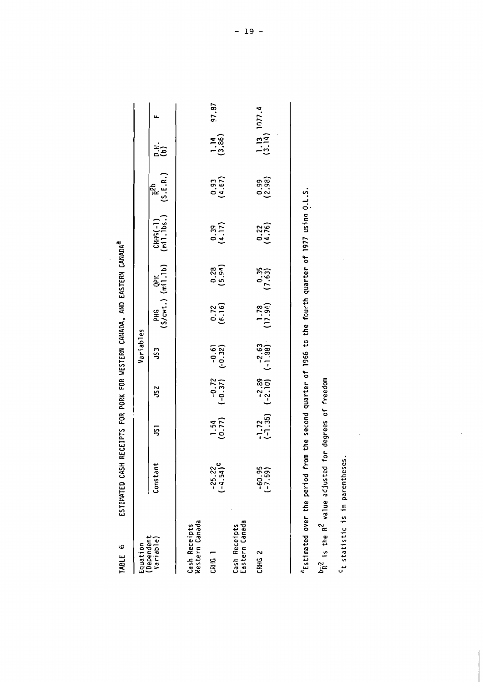| <b>ANGL POSTVOS CIAN</b> |
|--------------------------|
|                          |
| $\frac{1}{2}$            |
| FOR PORK FOR WESTERN     |
|                          |
|                          |
|                          |
| しんしんしん こしゃく              |
|                          |
| こうしょう ココミニ<br>STIMATED   |
|                          |
| $\frac{1}{2}$            |

 $\hat{\mathcal{A}}$ 

| Equation                                                                                             |                         |                  |                                                          | Variables |                       |                               |                        |                                               |                                                     |       |
|------------------------------------------------------------------------------------------------------|-------------------------|------------------|----------------------------------------------------------|-----------|-----------------------|-------------------------------|------------------------|-----------------------------------------------|-----------------------------------------------------|-------|
| Variable)<br>Dependent                                                                               | Constant                | 5                | SS <sub>2</sub>                                          | S3        |                       | PHG QPK<br>(\$/cwt.) (mil.1b) | CRHS(-1)<br>(mil.lbs.) | $\frac{1}{R^2}$<br>(S.E.R.) $\binom{p, y}{n}$ |                                                     |       |
| Western Canada<br>Cash Receipts                                                                      |                         |                  |                                                          |           |                       |                               |                        |                                               |                                                     |       |
| CRHG                                                                                                 | $-25.22$<br>$(-4.54)^C$ | $1.54$<br>(0.77) | $-0.72$ $-0.61$<br>$(-0.37)$ $(-0.32)$                   |           | $\frac{0.72}{(6.16)}$ | (5.38)                        | (4.17)                 | (1, 67)                                       | $\frac{1.14}{(3.86)}$                               | 97.87 |
| Cash Receipts<br>Eastern Canada                                                                      |                         |                  |                                                          |           |                       |                               |                        |                                               |                                                     |       |
| CRHG <sub>2</sub>                                                                                    | $-60.95$<br>$(-7.59)$   |                  | $-1.72$ $-2.89$ $-2.63$<br>$(-1.35)$ $(-2.10)$ $(-1.38)$ |           | $(17.94)$ $(7.63)$    |                               | $\binom{0.22}{(4.76)}$ | $(3.99$<br>$(2.98)$                           | $\begin{bmatrix} 1.13 \\ 1.14 \end{bmatrix}$ 1077.4 |       |
| Estimated over the period from the second quarter of 1966 to the fourth quarter of 1977 usina 0.L.S. |                         |                  |                                                          |           |                       |                               |                        |                                               |                                                     |       |

 $b_R^2$  is the  $R^2$  value adjusted for degrees of freedom

<sup>C</sup>t statistic is in parentheses.

 $\frac{1}{2}$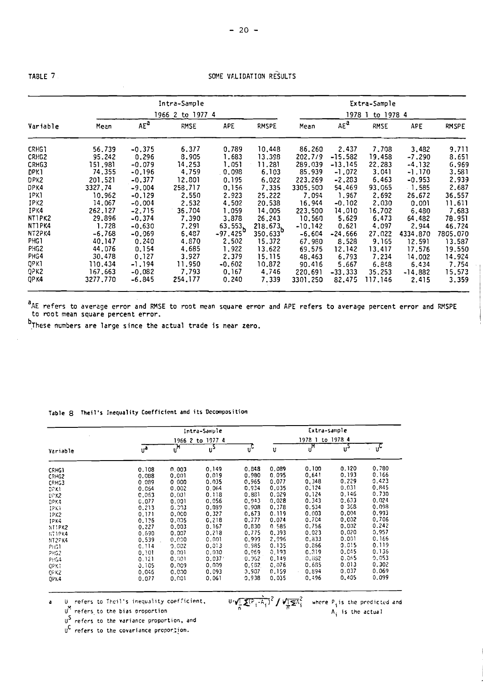TABLE 7 **SOME VALIDATION RESULTS** 

|                   |          |          | Intra-Sample     |             |                     |           |           | Extra-Sample |            |              |
|-------------------|----------|----------|------------------|-------------|---------------------|-----------|-----------|--------------|------------|--------------|
|                   |          |          | 1966 2 to 1977 4 |             |                     |           | 1978 1    | to 1978 4    |            |              |
| Variable          | Mean     | $AE^a$   | <b>RMSE</b>      | <b>APE</b>  | RMSPE               | Mean      | $AE^a$    | RMSE         | <b>APE</b> | <b>RMSPE</b> |
| CRHG1             | 56.739   | $-0.375$ | 6.377            | 0.789       | 10,448              | 86.260    | 2.437     | 7.708        | 3,482      | 9.711        |
| CRH <sub>G2</sub> | 95.242   | 0.296    | 8.905            | 1.683       | 13.398              | 202.7/9   | $-15.582$ | 19.458       | $-7.290$   | 8.651        |
| CRHG3             | 151.981  | $-0.079$ | 14.253           | 1.051       | 11.281              | 289.039   | $-13.145$ | 22,283       | $-4.132$   | 6.969        |
| DPK1              | 74.355   | $-0.196$ | 4.759            | 0.098       | 6.103               | 85.939    | $-1.072$  | 3.041        | $-1.170$   | 3.581        |
| DPK2              | 201.521  | $-0.377$ | 12.801           | 0.195       | 6,022               | 223.269   | $-2,283$  | 6,463        | $-0.953$   | 2.939        |
| DPK4              | 3327.74  | $-9.004$ | 258.717          | 0.156       | 7.335               | 3305.500  | 54,469    | 93,065       | $-1.585$   | 2.687        |
| IPKI              | 10.962   | $-0.129$ | 2.550            | 2.923       | 25,222              | 7.094     | 1.967     | 2.692        | 26.672     | 36.557       |
| IPK2              | 14.067   | $-0.004$ | 2.532            | 4.502       | 20.538              | 16.944    | $-0.102$  | 2.030        | 0.001      | 11.611       |
| IPK4              | 262.127  | $-2.715$ | 36.704           | 1,059       | 14,005              | 223,500   | 14.010    | 16.702       | 6.480      | 7,683        |
| NT1PK2            | 29.896   | $-0.374$ | 7.390            | 3,878       | 26.243              | 10.560    | 5.629     | 6.473        | 64,482     | 78.951       |
| NTIPK4            | 1.728    | $-0.630$ | 7.291            | 63.553      | 218.673b<br>350.633 | $-10,142$ | 0.621     | 4.097        | 2.944      | 46.724       |
| NT2PK4            | $-6.768$ | $-0.069$ | 6.487            | $-97.425^D$ |                     | $-6.604$  | $-24.666$ | 27,022       | 4334.870   | 7805.070     |
| PHG1              | 40.147   | 0.240    | 4.870            | 2,502       | 15.372              | 67.980    | 8.528     | 9.165        | 12.591     | 13.587       |
| PHG <sub>2</sub>  | 44.076   | 0.154    | 4,685            | 1.922       | 13.622              | 69.575    | 12.142    | 13.417       | 17.576     | 19.550       |
| PHG4              | 30.478   | 0.127    | 3.927            | 2.379       | 15.115              | 48.463    | 6.793     | 7.234        | 14.002     | 14.924       |
| QPK1              | 110.434  | $-1.194$ | 11.950           | $-0.602$    | 10.872              | 90.416    | 5.667     | 6.848        | 6.434      | 7.754        |
| QPK2              | 167.663  | $-0.082$ | 7.793            | 0,167       | 4,746               | 220.691   | $-33.333$ | 35.253       | $-14.882$  | 15.573       |
| QP K4             | 3277.770 | $-6.845$ | 254.177          | 0.240       | 7.339               | 3301.250  | 82.475    | 117.146      | 2.415      | 3,359        |

<sup>a</sup>AE refers to average error and RMSE to root mean square error and APE refers to average percent error and RMSPE to rcot mean square percent error.

 $<sup>b</sup>$ These numbers are large since the actual trade is near zero.</sup>

| Table 8 Theil's Inequality Coefficient and its Decomposition |  |  |
|--------------------------------------------------------------|--|--|
|--------------------------------------------------------------|--|--|

|              |       |                           | Intra-Sample       |        |       | Extra-sample     |       |                           |
|--------------|-------|---------------------------|--------------------|--------|-------|------------------|-------|---------------------------|
|              |       | 1966 2 to 1977 4          |                    |        |       | 1978 1 to 1978 4 |       |                           |
| Variable     | فرر   | $\mathbf{u}^{\mathsf{M}}$ | <u>ო</u>           | ັປີ    | u     | ូ,M              | ึ้ง   | $\mathbf{u}^{\mathbf{c}}$ |
| <b>CRHG1</b> | 0.108 | 0.003                     | 0.149              | 0.848  | 0.089 | 0.100            | 0.120 | 0.780                     |
| CRHG2        | 0.088 | 0.001                     | 0.019              | 0.980  | 0.095 | 0,641            | 0.193 | 0.166                     |
| CRHG3        | 0.089 | 0.000                     | 0.035              | 0.965  | 0.077 | 0.348            | 0.229 | 0.423                     |
| DRN          | 0.064 | 0.002                     | 0.064              | 0.934  | 0.035 | 0.124            | 0.031 | 0.845                     |
| $D0 0 0$     | 0.063 | 0.001                     | 0.118              | 0.881  | 0.029 | 0.124            | 0.146 | 0.730                     |
| DPK4         | 0.077 | 0.001                     | 0.056              | 0.943  | 0.028 | 0.343            | 0.633 | 0.024                     |
| 1281         | 0.213 | 0.003                     | 0.089              | 0.908  | 0.378 | 0.534            | 0368  | 0.098                     |
| IPK2         | 0.171 | 0.000                     | 0.327              | 0.673  | 0.119 | 0.003            | 0.004 | 0.993                     |
| IPK4         | 0.125 | 0.005                     | 0.218              | 0.777  | 0.074 | 0.704            | 0.002 | 0.706                     |
| NTIPK2       | 0.227 | 0.003                     | 0.167              | 0.830  | 0.585 | 0.756            | 0.002 | 0.242                     |
| NT3PK4       | 0.690 | 0.007                     | 0.218              | 0.775  | 0.393 | 0.023            | 0.020 | 0.957                     |
| NT2PK4       | 0.539 | 0.000                     | 0.001              | 0.993  | 2.996 | 0.833            | 0.001 | 0.166                     |
| PRG1         | 0.114 | 0.002                     | 0.013              | 0, 985 | 0.135 | 0.866            | 0.015 | 0.119                     |
| PHG2         | 0.101 | 0.001                     | 0.030              | 0.969  | 0.193 | 0.319            | 0.045 | 0.136                     |
| <b>PHG4</b>  | 0.121 | 0.001                     | 0.037 <sup>7</sup> | 0.062  | 0.149 | 0.832            | 0.065 | 0.053                     |
| OPK1         | 0.105 | 0.009                     | 0.009              | 0.982  | 0.076 | 0.665            | 0.013 | 0.302                     |
| QFK2         | 0.045 | 0.000                     | 0.093              | 0.907  | 0.159 | 0.894            | 0.037 | 0.069                     |
| <b>OPK4</b>  | 0.077 | 0.001                     | 0.061              | 0.938  | 0.035 | 0.496            | 0.405 | 0.099                     |

$$
\mathbf{X}^{(P_i - A_i)} \mathbf{Y} \mathbf{X}^{(P_i - A_i)}
$$

 $\mathbb{U}^N$  refers to the bias proportion n n **A**<sub>i</sub> is the actual

U<sup>S</sup> refers to the variance proportion, and

 $U^{C}$  refers to the covariance proporizon.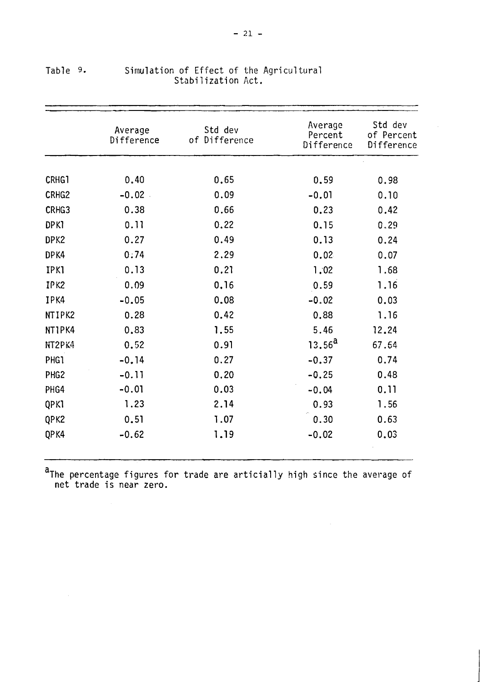|                  | Average<br>Difference | Std dev<br>of Difference | Average<br>Percent<br>Difference | Std dev<br>of Percent<br>Difference |
|------------------|-----------------------|--------------------------|----------------------------------|-------------------------------------|
|                  |                       |                          |                                  |                                     |
| CRHG1            | 0.40                  | 0.65                     | 0.59                             | 0.98                                |
| CRHG2            | $-0.02$               | 0.09                     | $-0.01$                          | 0.10                                |
| CRHG3            | 0.38                  | 0.66                     | 0.23                             | 0.42                                |
| <b>DPK1</b>      | 0.11                  | 0.22                     | 0.15                             | 0.29                                |
| DPK2             | 0.27                  | 0.49                     | 0.13                             | 0.24                                |
| DPK4             | 0:74                  | 2.29                     | 0.02                             | 0.07                                |
| <b>IPK1</b>      | 0.13                  | 0.21                     | 1.02                             | 1.68                                |
| IPK2             | 0.09                  | 0.16                     | 0.59                             | 1.16                                |
| IPK4             | $-0.05$               | 0.08                     | $-0.02$                          | 0.03                                |
| NTIPK2           | 0.28                  | 0.42                     | 0.88                             | 1.16                                |
| NT1PK4           | 0.83                  | 1.55                     | 5.46                             | 12.24                               |
| NT2PK4           | 0.52                  | 0.91                     | 13.56 <sup>a</sup>               | 67.64                               |
| <b>PHG1</b>      | $-0.14$               | 0.27                     | $-0.37$                          | 0.74                                |
| PHG <sub>2</sub> | $-0.11$               | 0.20                     | $-0.25$                          | 0.48                                |
| PHG4             | $-0.01$               | 0.03                     | $-0.04$                          | 0.11                                |
| QPK1             | 1.23                  | 2.14                     | 0.93                             | 1.56                                |
| QPK2             | 0.51                  | 1.07                     | 0.30                             | 0.63                                |
| QPK4             | $-0.62$               | 1.19                     | $-0.02$                          | 0.03                                |

# Table 9. Simulation of Effect of the Agricultural Stabilization Act.

~The percentage figures for trade are articially high since the average of net trade is near zero.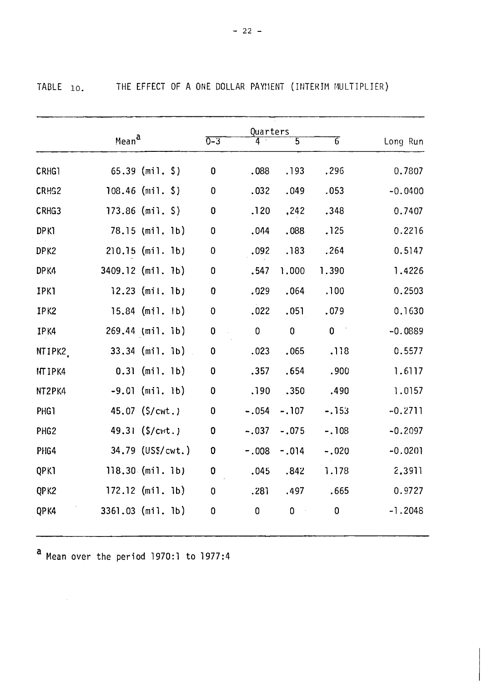TABLE 10. THE EFFECT OF A ONE DOLLAR PAYMENT (INTERIM MULTIPLIER)

|                   | Mean <sup>a</sup> |                    | $0 - 3$          | Quarters<br>4 | $\overline{5}$ | $\overline{6}$                             | Long Run  |
|-------------------|-------------------|--------------------|------------------|---------------|----------------|--------------------------------------------|-----------|
| CRHG1             |                   | $65.39$ (mil. \$)  | $\mathbf 0$      | .088          | .193           | .296                                       | 0.7807    |
| CRH <sub>S2</sub> |                   | $108.46$ (mil. \$) | $\bf{0}$         | .032          | .049           | .053                                       | $-0.0400$ |
| CRHG3             |                   | $173.86$ (mil. \$) | $\bf{0}$         | .120          | ,242           | .348                                       | 0.7407    |
| <b>DPK1</b>       |                   | 78.15 (mil. 1b)    | $\pmb{0}$        | .044          | .088           | .125                                       | 0.2216    |
| DPK2              |                   | $210.15$ (mil. 1b) | 0                | .092          | .183           | .264                                       | 0.5147    |
| DP <sub>K4</sub>  |                   | 3409.12 (mil. 1b)  | 0                | .547          | 1.000          | 1.390                                      | 1.4226    |
| <b>IPK1</b>       |                   | $12.23$ (mil. 1b)  | $\boldsymbol{0}$ | .029          | .064           | .100                                       | 0.2503    |
| IPK2              |                   | $15.84$ (mil. lb)  | $\pmb{0}$        | .022          | .051           | .079                                       | 0.1630    |
| IPK4              |                   | 269.44 (mil. lb)   | $\pmb{0}$        | $\pmb{0}$     | $\mathbf 0$    | $\mathbf 0$<br>$\mathcal{L}_{\mathcal{A}}$ | $-0.0889$ |
| NTIPK2            |                   | $33.34$ (mil. lb)  | $\pmb{0}$        | .023          | .065           | .118                                       | 0.5577    |
| NT IPK4           |                   | $0.31$ (mil. 1b)   | 0                | .357          | .654           | .900                                       | 1.6117    |
| NT2PK4            |                   | $-9.01$ (mil. lb)  | $\mathbf 0$      | .190          | .350           | .490                                       | 1.0157    |
| PHG1              |                   | 45.07 (\$/cwt.)    | $\pmb{0}$        | $-.054$       | $-.107$        | $-.153$                                    | $-0.2711$ |
| PHG <sub>2</sub>  |                   | 49.31 (\$/cwt.)    | $\pmb{0}$        | $-.037$       | $-.075$        | $-.108$                                    | $-0.2097$ |
| PHG4              |                   | 34.79 (US\$/cwt.)  | $\pmb{0}$        | $-0.008$      | $-.014$        | $-.020$                                    | $-0.0201$ |
| QPKI              |                   | $118.30$ (mil. 1b) | 0                | .045          | .842           | 1.178                                      | 2.3911    |
| QPK2              |                   | $172.12$ (mil. lb) | 0                | .281          | .497           | .665                                       | 0.9727    |
| QPK4              |                   | 3361.03 (mil. 1b)  | 0                | $\mathbf 0$   | $\pmb{0}$      | $\mathbf 0$                                | $-1.2048$ |

**a** Mean over the period 1970:l to 1977:4

 $\mathcal{L}^{\text{max}}_{\text{max}}$  and  $\mathcal{L}^{\text{max}}_{\text{max}}$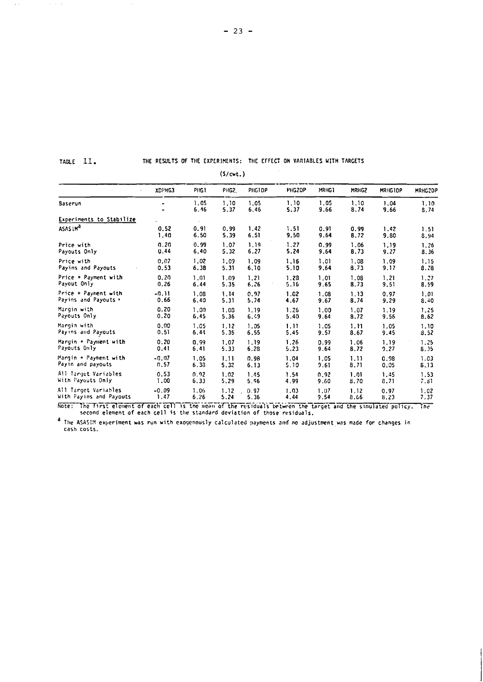TABLE II.

J,

 $\mathcal{A}(\mathcal{A})$  and  $\mathcal{A}(\mathcal{A})$  are  $\mathcal{A}(\mathcal{A})$  .

# THE RESULTS OF THE EXPERIMENTS: THE EFFECT ON VARIABLES WITH TARGETS

 $(S/cmt.)$ 

|                          | XDPHG3         | PHG1         | PHG2.        | PHGTDP       | PHG2DP       | MRHG1        | MRHG2        | MRHG10P      | MRHG2DP      |
|--------------------------|----------------|--------------|--------------|--------------|--------------|--------------|--------------|--------------|--------------|
| <b>Baserun</b>           | $\blacksquare$ | 1.05<br>6.46 | 1.10<br>5.37 | 1.05<br>6.46 | 1.10<br>5.37 | 1.05<br>9.66 | 1.10<br>8.74 | 1,04<br>9.66 | 1.10<br>8.74 |
| Experiments to Stabilize |                | $\sim$       |              |              |              |              |              |              |              |
| ASAS IM <sup>a</sup>     | 0.52           | 0.91         | 0.99         | 1.42         | 1.51         | 0.91         | 0.99         | 1.42         | 1.51         |
|                          | 1.40           | 6.50         | 5.39         | 6.51         | 9.50         | 9.64         | 8.72         | 9.80         | 8.94         |
| Price with               | 0.20           | 0.99         | 1.07         | 1.19         | 1.27         | 0.99         | 1.06         | 1.19         | 1.26         |
| Payouts Only             | 0.44           | 6.40         | 5.32         | 6.27         | 5.24         | 9.64         | 8.73         | 9.27         | 8.36         |
| Price with               | 0.07           | 1.02         | 1.09         | 1.09         | 1.16         | 1.01         | 1.08         | 1.09         | 1.15         |
| Payins and Payouts       | 0.53           | 6.38         | 5.31         | 6.10         | 5.10         | 9.64         | 8.73         | 9.17         | 8.78         |
| Price + Payment with     | 0.20           | 1.01         | 1.09         | 1.21         | 1.28         | 1.01         | 1.08         | 1.21         | 1.27         |
| Payout Only              | 0.26           | 6.44         | 5.35         | 6.26         | 5.16         | 9.65         | 8.73         | 9.51         | 8.59         |
| Price + Payment with     | $-0.11$        | 1.08         | 1.14         | 0.97         | 1.02         | 1.08         | 1.13         | 0.97         | 1.01         |
| Payins and Payouts .     | 0.66           | 6.40         | 5.31         | 5.74         | 4.67         | 9.67         | 8.74         | 9.29         | 8.40         |
| Margin with              | 0.20           | 1.00         | 1.08         | 1.19         | 1.26         | 1.00         | 1.07         | 1.19         | 1.25         |
| Payouts Only             | 0.20           | 6.45         | 5.36         | 6.49         | 5.40         | 9.64         | 8.72         | 9.56         | 8.62         |
| Margin with              | 0.00           | 1.05         | 1.12         | 1.05         | 1.11         | 1.05         | 1.11         | 1.05         | 1.10         |
| Payins and Payouts       | 0.51           | 6.44         | 5.35         | 6.55         | 5.45         | 9.57         | 8.67         | 9.45         | 8.52         |
| Margin + Payment with    | 0.20           | 0.99         | 1.07         | 1.19         | 1.26         | 0.99         | 1.06         | 1.19         | 1.25         |
| Payouts Only             | 0.41           | 6.41         | 5.33         | 6.28         | $5.23 -$     | 9.64         | 8.72         | 9.27         | 8.35         |
| Margin + Payment with    | $-0.07$        | 1.05         | 1.11         | 0.98         | 1.04         | 1.05         | 1,11         | 0.98         | 1.03         |
| Payin and payouts        | 0.57           | 6.38         | 5.32         | 6.13         | 5.10         | 9.61         | 8.71         | 0.05         | 8.13         |
| All Target Variables     | 0.53           | 0.92         | 1.02         | 1.45         | 1.54         | 0.92         | 1.01         | 1.45         | 1.53         |
| With Payouts Only        | 1.00           | 6.33         | 5.29         | 5.96         | 4.99         | 9.60         | 8.70         | 8.71         | 7.81         |
| All Target Variables     | $-0.09$        | 1.06         | 1.12         | 0.97         | 1.03         | 1.07         | 1.12         | 0.97         | 1.02         |
| With Payins and Payouts  | 1.47           | 6.26         | 5.24         | 5.36         | 4,44         | 9.54         | 8.66         | 8.23         | 7.37         |

Note: The first element of each cell is the mean of the residuals between the target and the simulated policy. The second element of each cell is the standard deviation of those residuals.

a<br>The ASASIM experiment was run with exogenously calculated payments and no adjustment was made for changes in<br>cash costs.